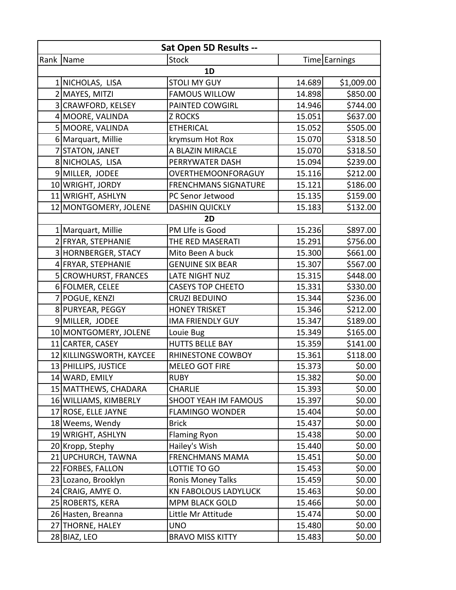| Sat Open 5D Results -- |                          |                             |        |               |
|------------------------|--------------------------|-----------------------------|--------|---------------|
|                        | Rank Name                | <b>Stock</b>                |        | Time Earnings |
|                        |                          | 1D                          |        |               |
|                        | 1 NICHOLAS, LISA         | <b>STOLI MY GUY</b>         | 14.689 | \$1,009.00    |
|                        | 2 MAYES, MITZI           | <b>FAMOUS WILLOW</b>        | 14.898 | \$850.00      |
|                        | 3 CRAWFORD, KELSEY       | PAINTED COWGIRL             | 14.946 | \$744.00      |
|                        | 4 MOORE, VALINDA         | <b>Z ROCKS</b>              | 15.051 | \$637.00      |
|                        | 5 MOORE, VALINDA         | <b>ETHERICAL</b>            | 15.052 | \$505.00      |
|                        | 6 Marquart, Millie       | krymsum Hot Rox             | 15.070 | \$318.50      |
|                        | 7 STATON, JANET          | A BLAZIN MIRACLE            | 15.070 | \$318.50      |
|                        | 8 NICHOLAS, LISA         | PERRYWATER DASH             | 15.094 | \$239.00      |
|                        | 9 MILLER, JODEE          | OVERTHEMOONFORAGUY          | 15.116 | \$212.00      |
|                        | 10 WRIGHT, JORDY         | <b>FRENCHMANS SIGNATURE</b> | 15.121 | \$186.00      |
|                        | 11 WRIGHT, ASHLYN        | PC Senor Jetwood            | 15.135 | \$159.00      |
|                        | 12 MONTGOMERY, JOLENE    | <b>DASHIN QUICKLY</b>       | 15.183 | \$132.00      |
|                        |                          | 2D                          |        |               |
|                        | 1 Marquart, Millie       | PM LIfe is Good             | 15.236 | \$897.00      |
|                        | 2 FRYAR, STEPHANIE       | THE RED MASERATI            | 15.291 | \$756.00      |
|                        | 3 HORNBERGER, STACY      | Mito Been A buck            | 15.300 | \$661.00      |
|                        | 4 FRYAR, STEPHANIE       | <b>GENUINE SIX BEAR</b>     | 15.307 | \$567.00      |
|                        | 5 CROWHURST, FRANCES     | <b>LATE NIGHT NUZ</b>       | 15.315 | \$448.00      |
|                        | 6 FOLMER, CELEE          | <b>CASEYS TOP CHEETO</b>    | 15.331 | \$330.00      |
|                        | 7 POGUE, KENZI           | <b>CRUZI BEDUINO</b>        | 15.344 | \$236.00      |
|                        | 8 PURYEAR, PEGGY         | <b>HONEY TRISKET</b>        | 15.346 | \$212.00      |
|                        | 9 MILLER, JODEE          | <b>IMA FRIENDLY GUY</b>     | 15.347 | \$189.00      |
|                        | 10 MONTGOMERY, JOLENE    | Louie Bug                   | 15.349 | \$165.00      |
|                        | 11 CARTER, CASEY         | <b>HUTTS BELLE BAY</b>      | 15.359 | \$141.00      |
|                        | 12 KILLINGSWORTH, KAYCEE | RHINESTONE COWBOY           | 15.361 | \$118.00      |
|                        | 13 PHILLIPS, JUSTICE     | <b>MELEO GOT FIRE</b>       | 15.373 | \$0.00        |
|                        | 14 WARD, EMILY           | <b>RUBY</b>                 | 15.382 | \$0.00        |
|                        | 15 MATTHEWS, CHADARA     | <b>CHARLIE</b>              | 15.393 | \$0.00        |
|                        | 16 WILLIAMS, KIMBERLY    | <b>SHOOT YEAH IM FAMOUS</b> | 15.397 | \$0.00        |
|                        | 17 ROSE, ELLE JAYNE      | <b>FLAMINGO WONDER</b>      | 15.404 | \$0.00        |
|                        | 18 Weems, Wendy          | <b>Brick</b>                | 15.437 | \$0.00        |
|                        | 19 WRIGHT, ASHLYN        | <b>Flaming Ryon</b>         | 15.438 | \$0.00        |
|                        | 20 Kropp, Stephy         | Hailey's Wish               | 15.440 | \$0.00        |
|                        | 21 UPCHURCH, TAWNA       | <b>FRENCHMANS MAMA</b>      | 15.451 | \$0.00        |
|                        | 22 FORBES, FALLON        | LOTTIE TO GO                | 15.453 | \$0.00        |
|                        | 23 Lozano, Brooklyn      | <b>Ronis Money Talks</b>    | 15.459 | \$0.00        |
|                        | 24 CRAIG, AMYE O.        | <b>KN FABOLOUS LADYLUCK</b> | 15.463 | \$0.00        |
|                        | 25 ROBERTS, KERA         | <b>MPM BLACK GOLD</b>       | 15.466 | \$0.00        |
|                        | 26 Hasten, Breanna       | Little Mr Attitude          | 15.474 | \$0.00        |
|                        | 27 THORNE, HALEY         | <b>UNO</b>                  | 15.480 | \$0.00        |
|                        | 28 BIAZ, LEO             | <b>BRAVO MISS KITTY</b>     | 15.483 | \$0.00        |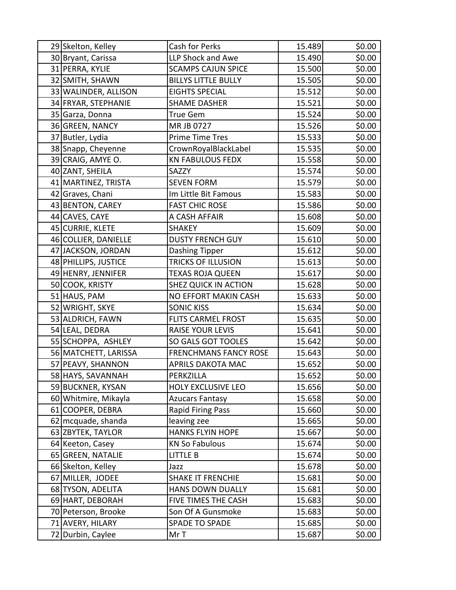| 29 Skelton, Kelley   | Cash for Perks               | 15.489 | \$0.00 |
|----------------------|------------------------------|--------|--------|
| 30 Bryant, Carissa   | <b>LLP Shock and Awe</b>     | 15.490 | \$0.00 |
| 31 PERRA, KYLIE      | <b>SCAMPS CAJUN SPICE</b>    | 15.500 | \$0.00 |
| 32 SMITH, SHAWN      | <b>BILLYS LITTLE BULLY</b>   | 15.505 | \$0.00 |
| 33 WALINDER, ALLISON | <b>EIGHTS SPECIAL</b>        | 15.512 | \$0.00 |
| 34 FRYAR, STEPHANIE  | <b>SHAME DASHER</b>          | 15.521 | \$0.00 |
| 35 Garza, Donna      | True Gem                     | 15.524 | \$0.00 |
| 36 GREEN, NANCY      | MR JB 0727                   | 15.526 | \$0.00 |
| 37 Butler, Lydia     | <b>Prime Time Tres</b>       | 15.533 | \$0.00 |
| 38 Snapp, Cheyenne   | CrownRoyalBlackLabel         | 15.535 | \$0.00 |
| 39 CRAIG, AMYE O.    | <b>KN FABULOUS FEDX</b>      | 15.558 | \$0.00 |
| 40 ZANT, SHEILA      | SAZZY                        | 15.574 | \$0.00 |
| 41 MARTINEZ, TRISTA  | <b>SEVEN FORM</b>            | 15.579 | \$0.00 |
| 42 Graves, Chani     | Im Little Bit Famous         | 15.583 | \$0.00 |
| 43 BENTON, CAREY     | <b>FAST CHIC ROSE</b>        | 15.586 | \$0.00 |
| 44 CAVES, CAYE       | A CASH AFFAIR                | 15.608 | \$0.00 |
| 45 CURRIE, KLETE     | <b>SHAKEY</b>                | 15.609 | \$0.00 |
| 46 COLLIER, DANIELLE | <b>DUSTY FRENCH GUY</b>      | 15.610 | \$0.00 |
| 47 JACKSON, JORDAN   | Dashing Tipper               | 15.612 | \$0.00 |
| 48 PHILLIPS, JUSTICE | TRICKS OF ILLUSION           | 15.613 | \$0.00 |
| 49 HENRY, JENNIFER   | TEXAS ROJA QUEEN             | 15.617 | \$0.00 |
| 50 COOK, KRISTY      | <b>SHEZ QUICK IN ACTION</b>  | 15.628 | \$0.00 |
| 51 HAUS, PAM         | NO EFFORT MAKIN CASH         | 15.633 | \$0.00 |
| 52 WRIGHT, SKYE      | <b>SONIC KISS</b>            | 15.634 | \$0.00 |
| 53 ALDRICH, FAWN     | FLITS CARMEL FROST           | 15.635 | \$0.00 |
| 54 LEAL, DEDRA       | <b>RAISE YOUR LEVIS</b>      | 15.641 | \$0.00 |
| 55 SCHOPPA, ASHLEY   | SO GALS GOT TOOLES           | 15.642 | \$0.00 |
| 56 MATCHETT, LARISSA | <b>FRENCHMANS FANCY ROSE</b> | 15.643 | \$0.00 |
| 57 PEAVY, SHANNON    | <b>APRILS DAKOTA MAC</b>     | 15.652 | \$0.00 |
| 58 HAYS, SAVANNAH    | PERKZILLA                    | 15.652 | \$0.00 |
| 59 BUCKNER, KYSAN    | HOLY EXCLUSIVE LEO           | 15.656 | \$0.00 |
| 60 Whitmire, Mikayla | Azucars Fantasy              | 15.658 | \$0.00 |
| 61 COOPER, DEBRA     | <b>Rapid Firing Pass</b>     | 15.660 | \$0.00 |
| 62 mcquade, shanda   | leaving zee                  | 15.665 | \$0.00 |
| 63 ZBYTEK, TAYLOR    | <b>HANKS FLYIN HOPE</b>      | 15.667 | \$0.00 |
| 64 Keeton, Casey     | <b>KN So Fabulous</b>        | 15.674 | \$0.00 |
| 65 GREEN, NATALIE    | LITTLE B                     | 15.674 | \$0.00 |
| 66 Skelton, Kelley   | Jazz                         | 15.678 | \$0.00 |
| 67 MILLER, JODEE     | <b>SHAKE IT FRENCHIE</b>     | 15.681 | \$0.00 |
| 68 TYSON, ADELITA    | <b>HANS DOWN DUALLY</b>      | 15.681 | \$0.00 |
| 69 HART, DEBORAH     | FIVE TIMES THE CASH          | 15.683 | \$0.00 |
| 70 Peterson, Brooke  | Son Of A Gunsmoke            | 15.683 | \$0.00 |
| 71 AVERY, HILARY     | <b>SPADE TO SPADE</b>        | 15.685 | \$0.00 |
| 72 Durbin, Caylee    | Mr T                         | 15.687 | \$0.00 |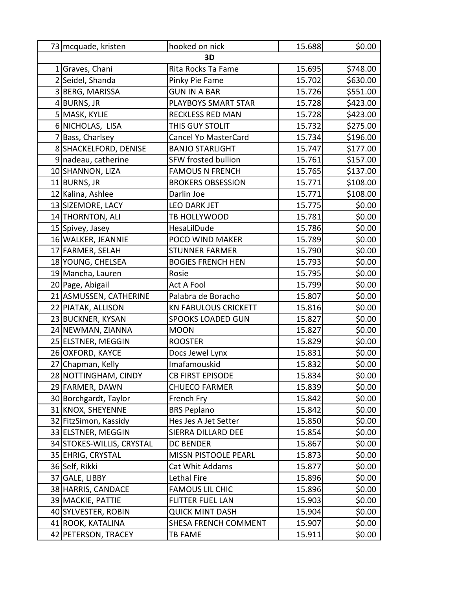| 73 mcquade, kristen       | hooked on nick              | 15.688 | \$0.00   |
|---------------------------|-----------------------------|--------|----------|
|                           | 3D                          |        |          |
| 1 Graves, Chani           | Rita Rocks Ta Fame          | 15.695 | \$748.00 |
| 2 Seidel, Shanda          | Pinky Pie Fame              | 15.702 | \$630.00 |
| 3 BERG, MARISSA           | <b>GUN IN A BAR</b>         | 15.726 | \$551.00 |
| 4BURNS, JR                | PLAYBOYS SMART STAR         | 15.728 | \$423.00 |
| 5 MASK, KYLIE             | <b>RECKLESS RED MAN</b>     | 15.728 | \$423.00 |
| 6 NICHOLAS, LISA          | THIS GUY STOLIT             | 15.732 | \$275.00 |
| 7 Bass, Charlsey          | Cancel Yo MasterCard        | 15.734 | \$196.00 |
| 8 SHACKELFORD, DENISE     | <b>BANJO STARLIGHT</b>      | 15.747 | \$177.00 |
| 9 nadeau, catherine       | <b>SFW frosted bullion</b>  | 15.761 | \$157.00 |
| 10 SHANNON, LIZA          | <b>FAMOUS N FRENCH</b>      | 15.765 | \$137.00 |
| 11 BURNS, JR              | <b>BROKERS OBSESSION</b>    | 15.771 | \$108.00 |
| 12 Kalina, Ashlee         | Darlin Joe                  | 15.771 | \$108.00 |
| 13 SIZEMORE, LACY         | <b>LEO DARK JET</b>         | 15.775 | \$0.00   |
| 14 THORNTON, ALI          | TB HOLLYWOOD                | 15.781 | \$0.00   |
| 15 Spivey, Jasey          | HesaLilDude                 | 15.786 | \$0.00   |
| 16 WALKER, JEANNIE        | POCO WIND MAKER             | 15.789 | \$0.00   |
| 17 FARMER, SELAH          | <b>STUNNER FARMER</b>       | 15.790 | \$0.00   |
| 18 YOUNG, CHELSEA         | <b>BOGIES FRENCH HEN</b>    | 15.793 | \$0.00   |
| 19 Mancha, Lauren         | Rosie                       | 15.795 | \$0.00   |
| 20 Page, Abigail          | Act A Fool                  | 15.799 | \$0.00   |
| 21 ASMUSSEN, CATHERINE    | Palabra de Boracho          | 15.807 | \$0.00   |
| 22 PIATAK, ALLISON        | <b>KN FABULOUS CRICKETT</b> | 15.816 | \$0.00   |
| 23 BUCKNER, KYSAN         | SPOOKS LOADED GUN           | 15.827 | \$0.00   |
| 24 NEWMAN, ZIANNA         | <b>MOON</b>                 | 15.827 | \$0.00   |
| 25 ELSTNER, MEGGIN        | <b>ROOSTER</b>              | 15.829 | \$0.00   |
| 26 OXFORD, KAYCE          | Docs Jewel Lynx             | 15.831 | \$0.00   |
| 27 Chapman, Kelly         | Imafamouskid                | 15.832 | \$0.00   |
| 28 NOTTINGHAM, CINDY      | CB FIRST EPISODE            | 15.834 | \$0.00   |
| 29 FARMER, DAWN           | <b>CHUECO FARMER</b>        | 15.839 | \$0.00   |
| 30 Borchgardt, Taylor     | French Fry                  | 15.842 | \$0.00   |
| 31 KNOX, SHEYENNE         | <b>BRS Peplano</b>          | 15.842 | \$0.00   |
| 32 FitzSimon, Kassidy     | Hes Jes A Jet Setter        | 15.850 | \$0.00   |
| 33 ELSTNER, MEGGIN        | SIERRA DILLARD DEE          | 15.854 | \$0.00   |
| 34 STOKES-WILLIS, CRYSTAL | <b>DC BENDER</b>            | 15.867 | \$0.00   |
| 35 EHRIG, CRYSTAL         | MISSN PISTOOLE PEARL        | 15.873 | \$0.00   |
| 36 Self, Rikki            | Cat Whit Addams             | 15.877 | \$0.00   |
| 37 GALE, LIBBY            | Lethal Fire                 | 15.896 | \$0.00   |
| 38 HARRIS, CANDACE        | <b>FAMOUS LIL CHIC</b>      | 15.896 | \$0.00   |
| 39 MACKIE, PATTIE         | <b>FLITTER FUEL LAN</b>     | 15.903 | \$0.00   |
| 40 SYLVESTER, ROBIN       | <b>QUICK MINT DASH</b>      | 15.904 | \$0.00   |
| 41 ROOK, KATALINA         | SHESA FRENCH COMMENT        | 15.907 | \$0.00   |
| 42 PETERSON, TRACEY       | TB FAME                     | 15.911 | \$0.00   |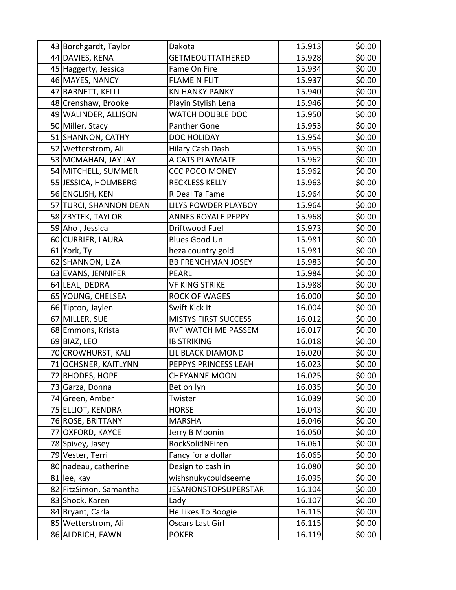|    | 43 Borchgardt, Taylor    | Dakota                      | 15.913 | \$0.00 |
|----|--------------------------|-----------------------------|--------|--------|
|    | 44 DAVIES, KENA          | GETMEOUTTATHERED            | 15.928 | \$0.00 |
|    | 45 Haggerty, Jessica     | Fame On Fire                | 15.934 | \$0.00 |
|    | 46 MAYES, NANCY          | <b>FLAME N FLIT</b>         | 15.937 | \$0.00 |
|    | 47 BARNETT, KELLI        | <b>KN HANKY PANKY</b>       | 15.940 | \$0.00 |
|    | 48 Crenshaw, Brooke      | Playin Stylish Lena         | 15.946 | \$0.00 |
|    | 49 WALINDER, ALLISON     | WATCH DOUBLE DOC            | 15.950 | \$0.00 |
|    | 50 Miller, Stacy         | <b>Panther Gone</b>         | 15.953 | \$0.00 |
|    | 51 SHANNON, CATHY        | DOC HOLIDAY                 | 15.954 | \$0.00 |
|    | 52 Wetterstrom, Ali      | Hilary Cash Dash            | 15.955 | \$0.00 |
|    | 53 MCMAHAN, JAY JAY      | A CATS PLAYMATE             | 15.962 | \$0.00 |
|    | 54 MITCHELL, SUMMER      | <b>CCC POCO MONEY</b>       | 15.962 | \$0.00 |
|    | 55 JESSICA, HOLMBERG     | <b>RECKLESS KELLY</b>       | 15.963 | \$0.00 |
|    | 56 ENGLISH, KEN          | R Deal Ta Fame              | 15.964 | \$0.00 |
|    | 57 TURCI, SHANNON DEAN   | LILYS POWDER PLAYBOY        | 15.964 | \$0.00 |
|    | 58 ZBYTEK, TAYLOR        | <b>ANNES ROYALE PEPPY</b>   | 15.968 | \$0.00 |
|    | 59 Aho, Jessica          | Driftwood Fuel              | 15.973 | \$0.00 |
|    | 60 CURRIER, LAURA        | <b>Blues Good Un</b>        | 15.981 | \$0.00 |
|    | 61 York, Ty              | heza country gold           | 15.981 | \$0.00 |
|    | 62 SHANNON, LIZA         | <b>BB FRENCHMAN JOSEY</b>   | 15.983 | \$0.00 |
|    | 63 EVANS, JENNIFER       | <b>PEARL</b>                | 15.984 | \$0.00 |
|    | 64 LEAL, DEDRA           | <b>VF KING STRIKE</b>       | 15.988 | \$0.00 |
|    | 65 YOUNG, CHELSEA        | <b>ROCK OF WAGES</b>        | 16.000 | \$0.00 |
|    | 66 Tipton, Jaylen        | Swift Kick It               | 16.004 | \$0.00 |
|    | 67 MILLER, SUE           | <b>MISTYS FIRST SUCCESS</b> | 16.012 | \$0.00 |
|    | 68 Emmons, Krista        | RVF WATCH ME PASSEM         | 16.017 | \$0.00 |
|    | 69 BIAZ, LEO             | <b>IB STRIKING</b>          | 16.018 | \$0.00 |
|    | 70 CROWHURST, KALI       | LIL BLACK DIAMOND           | 16.020 | \$0.00 |
| 71 | <b>OCHSNER, KAITLYNN</b> | PEPPYS PRINCESS LEAH        | 16.023 | \$0.00 |
|    | 72 RHODES, HOPE          | <b>CHEYANNE MOON</b>        | 16.025 | \$0.00 |
|    | 73 Garza, Donna          | Bet on lyn                  | 16.035 | \$0.00 |
|    | 74 Green, Amber          | Twister                     | 16.039 | \$0.00 |
|    | 75 ELLIOT, KENDRA        | <b>HORSE</b>                | 16.043 | \$0.00 |
|    | 76 ROSE, BRITTANY        | <b>MARSHA</b>               | 16.046 | \$0.00 |
| 77 | <b>OXFORD, KAYCE</b>     | Jerry B Moonin              | 16.050 | \$0.00 |
|    | 78 Spivey, Jasey         | RockSolidNFiren             | 16.061 | \$0.00 |
|    | 79 Vester, Terri         | Fancy for a dollar          | 16.065 | \$0.00 |
|    | 80 nadeau, catherine     | Design to cash in           | 16.080 | \$0.00 |
|    | 81 lee, kay              | wishsnukycouldseeme         | 16.095 | \$0.00 |
|    | 82 FitzSimon, Samantha   | <b>JESANONSTOPSUPERSTAR</b> | 16.104 | \$0.00 |
|    | 83 Shock, Karen          | Lady                        | 16.107 | \$0.00 |
|    | 84 Bryant, Carla         | He Likes To Boogie          | 16.115 | \$0.00 |
|    | 85 Wetterstrom, Ali      | Oscars Last Girl            | 16.115 | \$0.00 |
|    | 86 ALDRICH, FAWN         | <b>POKER</b>                | 16.119 | \$0.00 |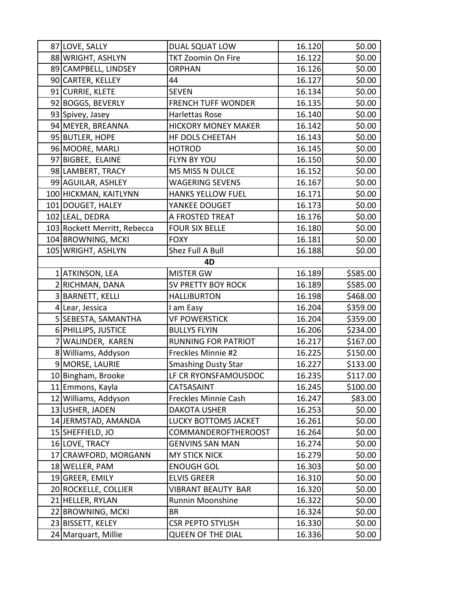| 87 LOVE, SALLY               | DUAL SQUAT LOW              | 16.120 | \$0.00   |
|------------------------------|-----------------------------|--------|----------|
| 88 WRIGHT, ASHLYN            | <b>TKT Zoomin On Fire</b>   | 16.122 | \$0.00   |
| 89 CAMPBELL, LINDSEY         | <b>ORPHAN</b>               | 16.126 | \$0.00   |
| 90 CARTER, KELLEY            | 44                          | 16.127 | \$0.00   |
| 91 CURRIE, KLETE             | <b>SEVEN</b>                | 16.134 | \$0.00   |
| 92 BOGGS, BEVERLY            | <b>FRENCH TUFF WONDER</b>   | 16.135 | \$0.00   |
| 93 Spivey, Jasey             | Harlettas Rose              | 16.140 | \$0.00   |
| 94 MEYER, BREANNA            | <b>HICKORY MONEY MAKER</b>  | 16.142 | \$0.00   |
| 95 BUTLER, HOPE              | HF DOLS CHEETAH             | 16.143 | \$0.00   |
| 96 MOORE, MARLI              | <b>HOTROD</b>               | 16.145 | \$0.00   |
| 97 BIGBEE, ELAINE            | FLYN BY YOU                 | 16.150 | \$0.00   |
| 98 LAMBERT, TRACY            | MS MISS N DULCE             | 16.152 | \$0.00   |
| 99 AGUILAR, ASHLEY           | <b>WAGERING SEVENS</b>      | 16.167 | \$0.00   |
| 100 HICKMAN, KAITLYNN        | <b>HANKS YELLOW FUEL</b>    | 16.171 | \$0.00   |
| 101 DOUGET, HALEY            | YANKEE DOUGET               | 16.173 | \$0.00   |
| 102 LEAL, DEDRA              | A FROSTED TREAT             | 16.176 | \$0.00   |
| 103 Rockett Merritt, Rebecca | <b>FOUR SIX BELLE</b>       | 16.180 | \$0.00   |
| 104 BROWNING, MCKI           | <b>FOXY</b>                 | 16.181 | \$0.00   |
| 105 WRIGHT, ASHLYN           | Shez Full A Bull            | 16.188 | \$0.00   |
|                              | 4D                          |        |          |
| 1 ATKINSON, LEA              | <b>MISTER GW</b>            | 16.189 | \$585.00 |
| 2 RICHMAN, DANA              | SV PRETTY BOY ROCK          | 16.189 | \$585.00 |
| 3 BARNETT, KELLI             | <b>HALLIBURTON</b>          | 16.198 | \$468.00 |
| 4 Lear, Jessica              | I am Easy                   | 16.204 | \$359.00 |
| 5 SEBESTA, SAMANTHA          | <b>VF POWERSTICK</b>        | 16.204 | \$359.00 |
| 6 PHILLIPS, JUSTICE          | <b>BULLYS FLYIN</b>         | 16.206 | \$234.00 |
| 7 WALINDER, KAREN            | <b>RUNNING FOR PATRIOT</b>  | 16.217 | \$167.00 |
| 8 Williams, Addyson          | Freckles Minnie #2          | 16.225 | \$150.00 |
| 9 MORSE, LAURIE              | <b>Smashing Dusty Star</b>  | 16.227 | \$133.00 |
| 10 Bingham, Brooke           | LF CR RYONSFAMOUSDOC        | 16.235 | \$117.00 |
| 11 Emmons, Kayla             | CATSASAINT                  | 16.245 | \$100.00 |
| 12 Williams, Addyson         | Freckles Minnie Cash        | 16.247 | \$83.00  |
| 13 USHER, JADEN              | <b>DAKOTA USHER</b>         | 16.253 | \$0.00   |
| 14 JERMSTAD, AMANDA          | <b>LUCKY BOTTOMS JACKET</b> | 16.261 | \$0.00   |
| 15 SHEFFIELD, JO             | COMMANDEROFTHEROOST         | 16.264 | \$0.00   |
| 16 LOVE, TRACY               | <b>GENVINS SAN MAN</b>      | 16.274 | \$0.00   |
| 17 CRAWFORD, MORGANN         | <b>MY STICK NICK</b>        | 16.279 | \$0.00   |
| 18 WELLER, PAM               | <b>ENOUGH GOL</b>           | 16.303 | \$0.00   |
| 19 GREER, EMILY              | <b>ELVIS GREER</b>          | 16.310 | \$0.00   |
| 20 ROCKELLE, COLLIER         | VIBRANT BEAUTY BAR          | 16.320 | \$0.00   |
| 21 HELLER, RYLAN             | Runnin Moonshine            | 16.322 | \$0.00   |
| 22 BROWNING, MCKI            | BR                          | 16.324 | \$0.00   |
| 23 BISSETT, KELEY            | <b>CSR PEPTO STYLISH</b>    | 16.330 | \$0.00   |
| 24 Marquart, Millie          | <b>QUEEN OF THE DIAL</b>    | 16.336 | \$0.00   |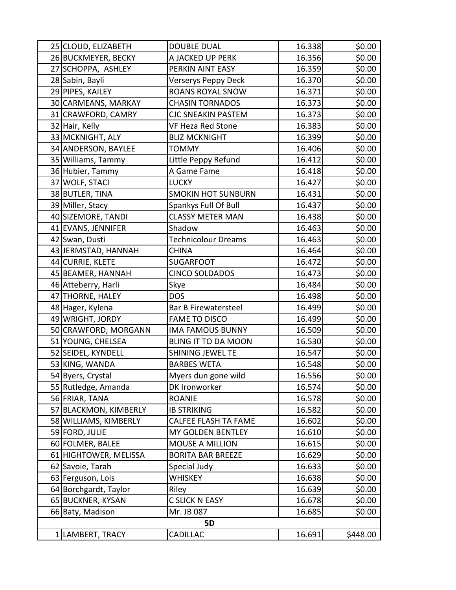| 25 CLOUD, ELIZABETH   | <b>DOUBLE DUAL</b>         | 16.338 | \$0.00   |
|-----------------------|----------------------------|--------|----------|
| 26 BUCKMEYER, BECKY   | A JACKED UP PERK           | 16.356 | \$0.00   |
| 27 SCHOPPA, ASHLEY    | PERKIN AINT EASY           | 16.359 | \$0.00   |
| 28 Sabin, Bayli       | Verserys Peppy Deck        | 16.370 | \$0.00   |
| 29 PIPES, KAILEY      | <b>ROANS ROYAL SNOW</b>    | 16.371 | \$0.00   |
| 30 CARMEANS, MARKAY   | <b>CHASIN TORNADOS</b>     | 16.373 | \$0.00   |
| 31 CRAWFORD, CAMRY    | CJC SNEAKIN PASTEM         | 16.373 | \$0.00   |
| 32 Hair, Kelly        | VF Heza Red Stone          | 16.383 | \$0.00   |
| 33 MCKNIGHT, ALY      | <b>BLIZ MCKNIGHT</b>       | 16.399 | \$0.00   |
| 34 ANDERSON, BAYLEE   | TOMMY                      | 16.406 | \$0.00   |
| 35 Williams, Tammy    | Little Peppy Refund        | 16.412 | \$0.00   |
| 36 Hubier, Tammy      | A Game Fame                | 16.418 | \$0.00   |
| 37 WOLF, STACI        | <b>LUCKY</b>               | 16.427 | \$0.00   |
| 38 BUTLER, TINA       | <b>SMOKIN HOT SUNBURN</b>  | 16.431 | \$0.00   |
| 39 Miller, Stacy      | Spankys Full Of Bull       | 16.437 | \$0.00   |
| 40 SIZEMORE, TANDI    | <b>CLASSY METER MAN</b>    | 16.438 | \$0.00   |
| 41 EVANS, JENNIFER    | Shadow                     | 16.463 | \$0.00   |
| 42 Swan, Dusti        | Technicolour Dreams        | 16.463 | \$0.00   |
| 43 JERMSTAD, HANNAH   | CHINA                      | 16.464 | \$0.00   |
| 44 CURRIE, KLETE      | <b>SUGARFOOT</b>           | 16.472 | \$0.00   |
| 45 BEAMER, HANNAH     | <b>CINCO SOLDADOS</b>      | 16.473 | \$0.00   |
| 46 Atteberry, Harli   | Skye                       | 16.484 | \$0.00   |
| 47 THORNE, HALEY      | <b>DOS</b>                 | 16.498 | \$0.00   |
| 48 Hager, Kylena      | Bar B Firewatersteel       | 16.499 | \$0.00   |
| 49 WRIGHT, JORDY      | <b>FAME TO DISCO</b>       | 16.499 | \$0.00   |
| 50 CRAWFORD, MORGANN  | <b>IMA FAMOUS BUNNY</b>    | 16.509 | \$0.00   |
| 51 YOUNG, CHELSEA     | <b>BLING IT TO DA MOON</b> | 16.530 | \$0.00   |
| 52 SEIDEL, KYNDELL    | <b>SHINING JEWEL TE</b>    | 16.547 | \$0.00   |
| 53 KING, WANDA        | <b>BARBES WETA</b>         | 16.548 | \$0.00   |
| 54 Byers, Crystal     | Myers dun gone wild        | 16.556 | \$0.00   |
| 55 Rutledge, Amanda   | DK Ironworker              | 16.574 | \$0.00   |
| 56 FRIAR, TANA        | <b>ROANIE</b>              | 16.578 | \$0.00   |
| 57 BLACKMON, KIMBERLY | <b>IB STRIKING</b>         | 16.582 | \$0.00   |
| 58 WILLIAMS, KIMBERLY | CALFEE FLASH TA FAME       | 16.602 | \$0.00   |
| 59 FORD, JULIE        | MY GOLDEN BENTLEY          | 16.610 | \$0.00   |
| 60 FOLMER, BALEE      | <b>MOUSE A MILLION</b>     | 16.615 | \$0.00   |
| 61 HIGHTOWER, MELISSA | <b>BORITA BAR BREEZE</b>   | 16.629 | \$0.00   |
| 62 Savoie, Tarah      | Special Judy               | 16.633 | \$0.00   |
| 63 Ferguson, Lois     | WHISKEY                    | 16.638 | \$0.00   |
| 64 Borchgardt, Taylor | Riley                      | 16.639 | \$0.00   |
| 65 BUCKNER, KYSAN     | C SLICK N EASY             | 16.678 | \$0.00   |
| 66 Baty, Madison      | Mr. JB 087                 | 16.685 | \$0.00   |
|                       | <b>5D</b>                  |        |          |
| 1 LAMBERT, TRACY      | <b>CADILLAC</b>            | 16.691 | \$448.00 |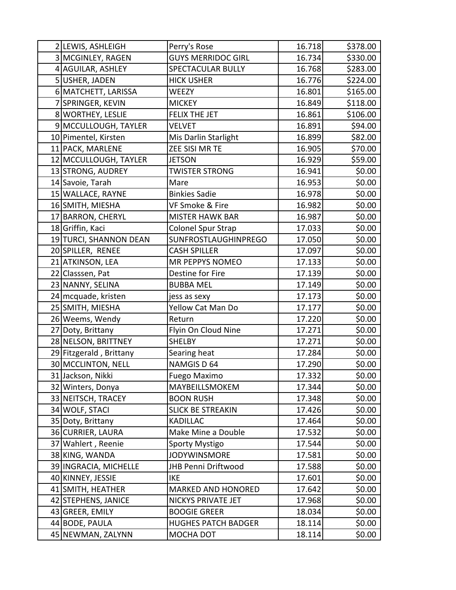| 2 LEWIS, ASHLEIGH       | Perry's Rose               | 16.718 | \$378.00 |
|-------------------------|----------------------------|--------|----------|
| 3 MCGINLEY, RAGEN       | <b>GUYS MERRIDOC GIRL</b>  | 16.734 | \$330.00 |
| 4 AGUILAR, ASHLEY       | SPECTACULAR BULLY          | 16.768 | \$283.00 |
| 5USHER, JADEN           | <b>HICK USHER</b>          | 16.776 | \$224.00 |
| 6 MATCHETT, LARISSA     | WEEZY                      | 16.801 | \$165.00 |
| 7 SPRINGER, KEVIN       | <b>MICKEY</b>              | 16.849 | \$118.00 |
| 8 WORTHEY, LESLIE       | <b>FELIX THE JET</b>       | 16.861 | \$106.00 |
| 9 MCCULLOUGH, TAYLER    | VELVET                     | 16.891 | \$94.00  |
| 10 Pimentel, Kirsten    | Mis Darlin Starlight       | 16.899 | \$82.00  |
| 11 PACK, MARLENE        | ZEE SISI MR TE             | 16.905 | \$70.00  |
| 12 MCCULLOUGH, TAYLER   | <b>JETSON</b>              | 16.929 | \$59.00  |
| 13 STRONG, AUDREY       | <b>TWISTER STRONG</b>      | 16.941 | \$0.00   |
| 14 Savoie, Tarah        | Mare                       | 16.953 | \$0.00   |
| 15 WALLACE, RAYNE       | <b>Binkies Sadie</b>       | 16.978 | \$0.00   |
| 16 SMITH, MIESHA        | VF Smoke & Fire            | 16.982 | \$0.00   |
| 17 BARRON, CHERYL       | <b>MISTER HAWK BAR</b>     | 16.987 | \$0.00   |
| 18 Griffin, Kaci        | <b>Colonel Spur Strap</b>  | 17.033 | \$0.00   |
| 19 TURCI, SHANNON DEAN  | SUNFROSTLAUGHINPREGO       | 17.050 | \$0.00   |
| 20SPILLER, RENEE        | <b>CASH SPILLER</b>        | 17.097 | \$0.00   |
| 21 ATKINSON, LEA        | MR PEPPYS NOMEO            | 17.133 | \$0.00   |
| 22 Classsen, Pat        | Destine for Fire           | 17.139 | \$0.00   |
| 23 NANNY, SELINA        | <b>BUBBA MEL</b>           | 17.149 | \$0.00   |
| 24 mcquade, kristen     | jess as sexy               | 17.173 | \$0.00   |
| 25 SMITH, MIESHA        | Yellow Cat Man Do          | 17.177 | \$0.00   |
| 26 Weems, Wendy         | Return                     | 17.220 | \$0.00   |
| 27 Doty, Brittany       | Flyin On Cloud Nine        | 17.271 | \$0.00   |
| 28 NELSON, BRITTNEY     | <b>SHELBY</b>              | 17.271 | \$0.00   |
| 29 Fitzgerald, Brittany | Searing heat               | 17.284 | \$0.00   |
| 30 MCCLINTON, NELL      | NAMGIS D 64                | 17.290 | \$0.00   |
| 31 Jackson, Nikki       | Fuego Maximo               | 17.332 | \$0.00   |
| 32 Winters, Donya       | MAYBEILLSMOKEM             | 17.344 | \$0.00   |
| 33 NEITSCH, TRACEY      | <b>BOON RUSH</b>           | 17.348 | \$0.00   |
| 34 WOLF, STACI          | <b>SLICK BE STREAKIN</b>   | 17.426 | \$0.00   |
| 35 Doty, Brittany       | <b>KADILLAC</b>            | 17.464 | \$0.00   |
| 36 CURRIER, LAURA       | Make Mine a Double         | 17.532 | \$0.00   |
| 37 Wahlert, Reenie      | Sporty Mystigo             | 17.544 | \$0.00   |
| 38 KING, WANDA          | <b>JODYWINSMORE</b>        | 17.581 | \$0.00   |
| 39 INGRACIA, MICHELLE   | JHB Penni Driftwood        | 17.588 | \$0.00   |
| 40 KINNEY, JESSIE       | <b>IKE</b>                 | 17.601 | \$0.00   |
| 41 SMITH, HEATHER       | <b>MARKED AND HONORED</b>  | 17.642 | \$0.00   |
| 42 STEPHENS, JANICE     | NICKYS PRIVATE JET         | 17.968 | \$0.00   |
| 43 GREER, EMILY         | <b>BOOGIE GREER</b>        | 18.034 | \$0.00   |
| 44 BODE, PAULA          | <b>HUGHES PATCH BADGER</b> | 18.114 | \$0.00   |
| 45 NEWMAN, ZALYNN       | MOCHA DOT                  | 18.114 | \$0.00   |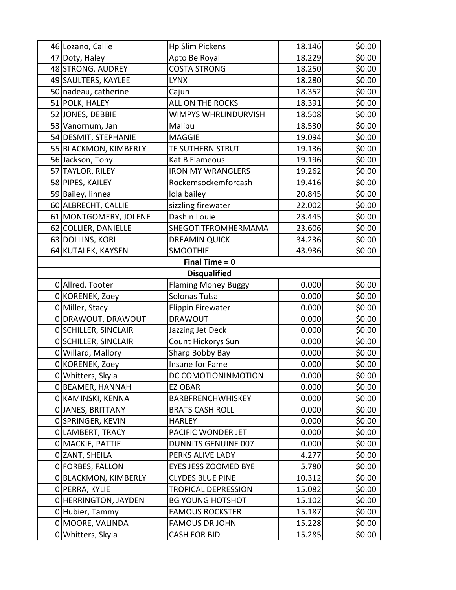| 46 Lozano, Callie     | <b>Hp Slim Pickens</b>     | 18.146 | \$0.00 |
|-----------------------|----------------------------|--------|--------|
| 47 Doty, Haley        | Apto Be Royal              | 18.229 | \$0.00 |
| 48 STRONG, AUDREY     | <b>COSTA STRONG</b>        | 18.250 | \$0.00 |
| 49 SAULTERS, KAYLEE   | <b>LYNX</b>                | 18.280 | \$0.00 |
| 50 nadeau, catherine  | Cajun                      | 18.352 | \$0.00 |
| 51 POLK, HALEY        | ALL ON THE ROCKS           | 18.391 | \$0.00 |
| 52 JONES, DEBBIE      | WIMPYS WHRLINDURVISH       | 18.508 | \$0.00 |
| 53 Vanornum, Jan      | Malibu                     | 18.530 | \$0.00 |
| 54 DESMIT, STEPHANIE  | <b>MAGGIE</b>              | 19.094 | \$0.00 |
| 55 BLACKMON, KIMBERLY | <b>TF SUTHERN STRUT</b>    | 19.136 | \$0.00 |
| 56 Jackson, Tony      | Kat B Flameous             | 19.196 | \$0.00 |
| 57 TAYLOR, RILEY      | <b>IRON MY WRANGLERS</b>   | 19.262 | \$0.00 |
| 58 PIPES, KAILEY      | Rockemsockemforcash        | 19.416 | \$0.00 |
| 59 Bailey, linnea     | lola bailey                | 20.845 | \$0.00 |
| 60 ALBRECHT, CALLIE   | sizzling firewater         | 22.002 | \$0.00 |
| 61 MONTGOMERY, JOLENE | Dashin Louie               | 23.445 | \$0.00 |
| 62 COLLIER, DANIELLE  | SHEGOTITFROMHERMAMA        | 23.606 | \$0.00 |
| 63 DOLLINS, KORI      | <b>DREAMIN QUICK</b>       | 34.236 | \$0.00 |
| 64 KUTALEK, KAYSEN    | <b>SMOOTHIE</b>            | 43.936 | \$0.00 |
|                       | Final Time $= 0$           |        |        |
|                       | <b>Disqualified</b>        |        |        |
| 0 Allred, Tooter      | <b>Flaming Money Buggy</b> | 0.000  | \$0.00 |
| 0 KORENEK, Zoey       | Solonas Tulsa              | 0.000  | \$0.00 |
| 0 Miller, Stacy       | <b>Flippin Firewater</b>   | 0.000  | \$0.00 |
| 0 DRAWOUT, DRAWOUT    | <b>DRAWOUT</b>             | 0.000  | \$0.00 |
| 0 SCHILLER, SINCLAIR  | Jazzing Jet Deck           | 0.000  | \$0.00 |
| 0 SCHILLER, SINCLAIR  | Count Hickorys Sun         | 0.000  | \$0.00 |
| 0 Willard, Mallory    | Sharp Bobby Bay            | 0.000  | \$0.00 |
| 0 KORENEK, Zoey       | Insane for Fame            | 0.000  | \$0.00 |
| 0 Whitters, Skyla     | DC COMOTIONINMOTION        | 0.000  | \$0.00 |
| 0 BEAMER, HANNAH      | <b>EZ OBAR</b>             | 0.000  | \$0.00 |
| 0 KAMINSKI, KENNA     | BARBFRENCHWHISKEY          | 0.000  | \$0.00 |
| O JANES, BRITTANY     | <b>BRATS CASH ROLL</b>     | 0.000  | \$0.00 |
| 0 SPRINGER, KEVIN     | <b>HARLEY</b>              | 0.000  | \$0.00 |
| 0 LAMBERT, TRACY      | PACIFIC WONDER JET         | 0.000  | \$0.00 |
| 0 MACKIE, PATTIE      | <b>DUNNITS GENUINE 007</b> | 0.000  | \$0.00 |
| 0 ZANT, SHEILA        | PERKS ALIVE LADY           | 4.277  | \$0.00 |
| 0 FORBES, FALLON      | EYES JESS ZOOMED BYE       | 5.780  | \$0.00 |
| 0 BLACKMON, KIMBERLY  | <b>CLYDES BLUE PINE</b>    | 10.312 | \$0.00 |
| O PERRA, KYLIE        | <b>TROPICAL DEPRESSION</b> | 15.082 | \$0.00 |
| 0 HERRINGTON, JAYDEN  | <b>BG YOUNG HOTSHOT</b>    | 15.102 | \$0.00 |
| 0 Hubier, Tammy       | <b>FAMOUS ROCKSTER</b>     | 15.187 | \$0.00 |
| 0 MOORE, VALINDA      | <b>FAMOUS DR JOHN</b>      | 15.228 | \$0.00 |
| 0 Whitters, Skyla     | <b>CASH FOR BID</b>        | 15.285 | \$0.00 |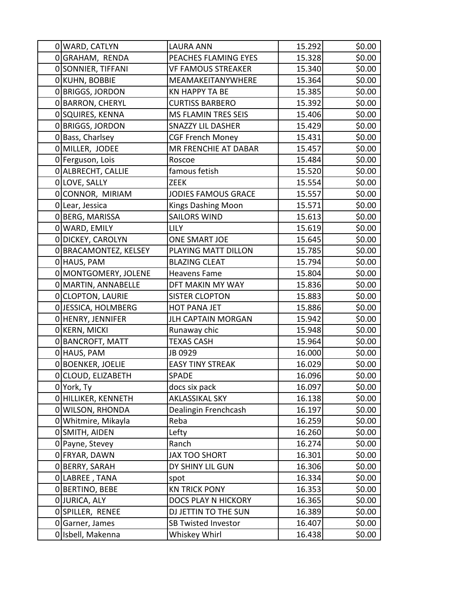|   | 0 WARD, CATLYN         | <b>LAURA ANN</b>           | 15.292 | \$0.00 |
|---|------------------------|----------------------------|--------|--------|
|   | OGRAHAM, RENDA         | PEACHES FLAMING EYES       | 15.328 | \$0.00 |
|   | 0 SONNIER, TIFFANI     | <b>VF FAMOUS STREAKER</b>  | 15.340 | \$0.00 |
|   | 0 KUHN, BOBBIE         | MEAMAKEITANYWHERE          | 15.364 | \$0.00 |
|   | 0 BRIGGS, JORDON       | <b>KN HAPPY TA BE</b>      | 15.385 | \$0.00 |
|   | 0 BARRON, CHERYL       | <b>CURTISS BARBERO</b>     | 15.392 | \$0.00 |
|   | 0 SQUIRES, KENNA       | <b>MS FLAMIN TRES SEIS</b> | 15.406 | \$0.00 |
|   | 0 BRIGGS, JORDON       | <b>SNAZZY LIL DASHER</b>   | 15.429 | \$0.00 |
|   | 0 Bass, Charlsey       | <b>CGF French Money</b>    | 15.431 | \$0.00 |
|   | 0 MILLER, JODEE        | MR FRENCHIE AT DABAR       | 15.457 | \$0.00 |
|   | 0 Ferguson, Lois       | Roscoe                     | 15.484 | \$0.00 |
|   | 0 ALBRECHT, CALLIE     | famous fetish              | 15.520 | \$0.00 |
|   | 0 LOVE, SALLY          | <b>ZEEK</b>                | 15.554 | \$0.00 |
|   | 0 CONNOR, MIRIAM       | <b>JODIES FAMOUS GRACE</b> | 15.557 | \$0.00 |
|   | 0 Lear, Jessica        | Kings Dashing Moon         | 15.571 | \$0.00 |
|   | 0 BERG, MARISSA        | <b>SAILORS WIND</b>        | 15.613 | \$0.00 |
|   | 0 WARD, EMILY          | <b>LILY</b>                | 15.619 | \$0.00 |
|   | 0 DICKEY, CAROLYN      | ONE SMART JOE              | 15.645 | \$0.00 |
|   | 0 BRACAMONTEZ, KELSEY  | PLAYING MATT DILLON        | 15.785 | \$0.00 |
|   | 0 HAUS, PAM            | <b>BLAZING CLEAT</b>       | 15.794 | \$0.00 |
|   | 0 MONTGOMERY, JOLENE   | Heavens Fame               | 15.804 | \$0.00 |
|   | 0 MARTIN, ANNABELLE    | DFT MAKIN MY WAY           | 15.836 | \$0.00 |
|   | 0 CLOPTON, LAURIE      | <b>SISTER CLOPTON</b>      | 15.883 | \$0.00 |
|   | 0 JESSICA, HOLMBERG    | <b>HOT PANA JET</b>        | 15.886 | \$0.00 |
|   | O HENRY, JENNIFER      | <b>JLH CAPTAIN MORGAN</b>  | 15.942 | \$0.00 |
|   | 0 KERN, MICKI          | Runaway chic               | 15.948 | \$0.00 |
|   | 0 BANCROFT, MATT       | <b>TEXAS CASH</b>          | 15.964 | \$0.00 |
|   | 0 HAUS, PAM            | JB 0929                    | 16.000 | \$0.00 |
| 0 | <b>BOENKER, JOELIE</b> | <b>EASY TINY STREAK</b>    | 16.029 | \$0.00 |
|   | 0 CLOUD, ELIZABETH     | SPADE                      | 16.096 | \$0.00 |
|   | 0York, Ty              | docs six pack              | 16.097 | \$0.00 |
|   | OHILLIKER, KENNETH     | AKLASSIKAL SKY             | 16.138 | \$0.00 |
|   | 0 WILSON, RHONDA       | Dealingin Frenchcash       | 16.197 | \$0.00 |
|   | 0 Whitmire, Mikayla    | Reba                       | 16.259 | \$0.00 |
|   | 0 SMITH, AIDEN         | Lefty                      | 16.260 | \$0.00 |
|   | 0 Payne, Stevey        | Ranch                      | 16.274 | \$0.00 |
|   | 0 FRYAR, DAWN          | <b>JAX TOO SHORT</b>       | 16.301 | \$0.00 |
|   | 0 BERRY, SARAH         | DY SHINY LIL GUN           | 16.306 | \$0.00 |
|   | O LABREE, TANA         | spot                       | 16.334 | \$0.00 |
|   | 0 BERTINO, BEBE        | <b>KN TRICK PONY</b>       | 16.353 | \$0.00 |
|   | 0 JURICA, ALY          | DOCS PLAY N HICKORY        | 16.365 | \$0.00 |
|   | OSPILLER, RENEE        | DJ JETTIN TO THE SUN       | 16.389 | \$0.00 |
|   | 0Garner, James         | <b>SB Twisted Investor</b> | 16.407 | \$0.00 |
|   | 0 Isbell, Makenna      | Whiskey Whirl              | 16.438 | \$0.00 |